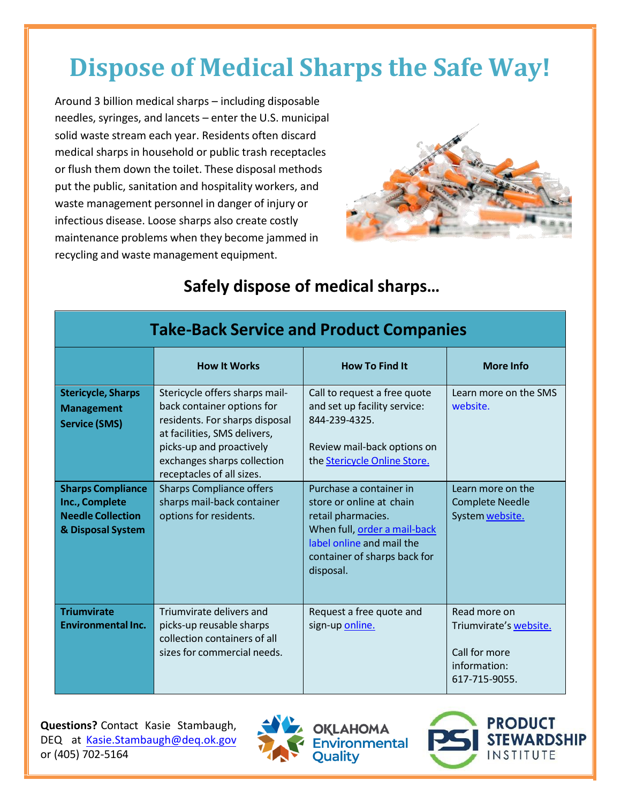## **Dispose of Medical Sharps the Safe Way!**

Around 3 billion medical sharps – including disposable needles, syringes, and lancets – enter the U.S. municipal solid waste stream each year. Residents often discard medical sharps in household or public trash receptacles or flush them down the toilet. These disposal methods put the public, sanitation and hospitality workers, and waste management personnel in danger of injury or infectious disease. Loose sharps also create costly maintenance problems when they become jammed in recycling and waste management equipment.



## **Safely dispose of medical sharps…**

| <b>Take-Back Service and Product Companies</b>                                              |                                                                                                                                                                                                                        |                                                                                                                                                                                     |                                                                                          |  |
|---------------------------------------------------------------------------------------------|------------------------------------------------------------------------------------------------------------------------------------------------------------------------------------------------------------------------|-------------------------------------------------------------------------------------------------------------------------------------------------------------------------------------|------------------------------------------------------------------------------------------|--|
|                                                                                             | <b>How It Works</b>                                                                                                                                                                                                    | <b>How To Find It</b>                                                                                                                                                               | <b>More Info</b>                                                                         |  |
| <b>Stericycle, Sharps</b><br><b>Management</b><br><b>Service (SMS)</b>                      | Stericycle offers sharps mail-<br>back container options for<br>residents. For sharps disposal<br>at facilities, SMS delivers,<br>picks-up and proactively<br>exchanges sharps collection<br>receptacles of all sizes. | Call to request a free quote<br>and set up facility service:<br>844-239-4325.<br>Review mail-back options on<br>the Stericycle Online Store.                                        | Learn more on the SMS<br>website.                                                        |  |
| <b>Sharps Compliance</b><br>Inc., Complete<br><b>Needle Collection</b><br>& Disposal System | <b>Sharps Compliance offers</b><br>sharps mail-back container<br>options for residents.                                                                                                                                | Purchase a container in<br>store or online at chain<br>retail pharmacies.<br>When full, order a mail-back<br>label online and mail the<br>container of sharps back for<br>disposal. | Learn more on the<br><b>Complete Needle</b><br>System website.                           |  |
| <b>Triumvirate</b><br><b>Environmental Inc.</b>                                             | Triumvirate delivers and<br>picks-up reusable sharps<br>collection containers of all<br>sizes for commercial needs.                                                                                                    | Request a free quote and<br>sign-up online.                                                                                                                                         | Read more on<br>Triumvirate's website.<br>Call for more<br>information:<br>617-715-9055. |  |

**Questions?** Contact Kasie Stambaugh, DEQ at [Kasie.Stambaugh@deq.o](mailto:kasie.stambaugh@deq.ok.gov)k.gov or (405) 702-5164



onmental